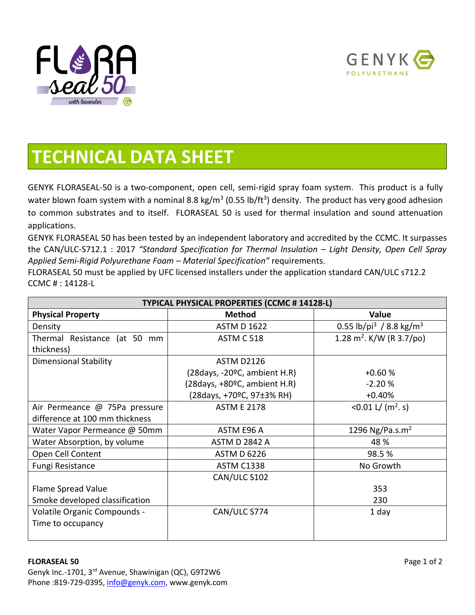



## **TECHNICAL DATA SHEET**

GENYK FLORASEAL-50 is a two-component, open cell, semi-rigid spray foam system. This product is a fully water blown foam system with a nominal 8.8 kg/m<sup>3</sup> (0.55 lb/ft<sup>3</sup>) density. The product has very good adhesion to common substrates and to itself. FLORASEAL 50 is used for thermal insulation and sound attenuation applications.

GENYK FLORASEAL 50 has been tested by an independent laboratory and accredited by the CCMC. It surpasses the CAN/ULC-S712.1 : 2017 *"Standard Specification for Thermal Insulation – Light Density, Open Cell Spray Applied Semi-Rigid Polyurethane Foam – Material Specification"* requirements.

FLORASEAL 50 must be applied by UFC licensed installers under the application standard CAN/ULC s712.2 CCMC # : 14128-L

| TYPICAL PHYSICAL PROPERTIES (CCMC # 14128-L) |                                 |                                                 |  |  |
|----------------------------------------------|---------------------------------|-------------------------------------------------|--|--|
| <b>Physical Property</b>                     | <b>Method</b>                   | Value                                           |  |  |
| Density                                      | <b>ASTM D 1622</b>              | 0.55 lb/pi <sup>3</sup> / 8.8 kg/m <sup>3</sup> |  |  |
| Thermal Resistance (at 50 mm                 | <b>ASTM C 518</b>               | 1.28 m <sup>2</sup> . K/W (R 3.7/po)            |  |  |
| thickness)                                   |                                 |                                                 |  |  |
| <b>Dimensional Stability</b>                 | <b>ASTM D2126</b>               |                                                 |  |  |
|                                              | $(28 days, -20°C, ambient H.R)$ | $+0.60%$                                        |  |  |
|                                              | (28days, +80ºC, ambient H.R)    | $-2.20%$                                        |  |  |
|                                              | (28days, +70ºC, 97±3% RH)       | $+0.40%$                                        |  |  |
| Air Permeance @ 75Pa pressure                | <b>ASTM E 2178</b>              | <0.01 L/ $(m^2, s)$                             |  |  |
| difference at 100 mm thickness               |                                 |                                                 |  |  |
| Water Vapor Permeance @ 50mm                 | ASTM E96 A                      | 1296 Ng/Pa.s.m <sup>2</sup>                     |  |  |
| Water Absorption, by volume                  | <b>ASTM D 2842 A</b>            | 48 %                                            |  |  |
| Open Cell Content                            | <b>ASTM D 6226</b>              | 98.5%                                           |  |  |
| Fungi Resistance                             | <b>ASTM C1338</b>               | No Growth                                       |  |  |
|                                              | CAN/ULC S102                    |                                                 |  |  |
| Flame Spread Value                           |                                 | 353                                             |  |  |
| Smoke developed classification               |                                 | 230                                             |  |  |
| Volatile Organic Compounds -                 | CAN/ULC S774                    | 1 day                                           |  |  |
| Time to occupancy                            |                                 |                                                 |  |  |
|                                              |                                 |                                                 |  |  |